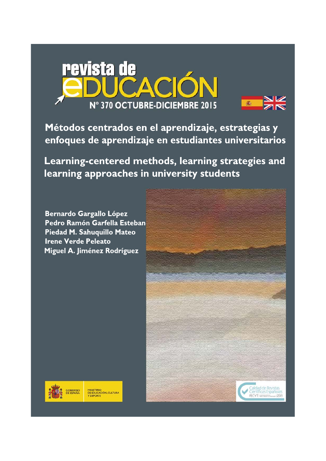



Métodos centrados en el aprendizaje, estrategias y enfoques de aprendizaje en estudiantes universitarios

Learning-centered methods, learning strategies and learning approaches in university students

**Bernardo Gargallo López** Pedro Ramón Garfella Esteban Piedad M. Sahuquillo Mateo **Irene Verde Peleato** Miguel A. Jiménez Rodríguez

MINISTERIO<br>DE EDUCACIÓN, CULTURA<br>Y DEPORTE



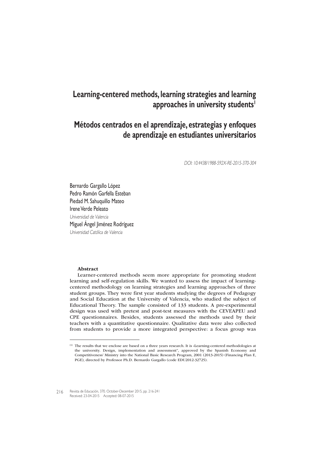# **Learning-centered methods, learning strategies and learning approaches in university students1**

# **Métodos centrados en el aprendizaje, estrategias y enfoques de aprendizaje en estudiantes universitarios**

DOI: 10.4438/1988-592X-RE-2015-370-304

Bernardo Gargallo López Pedro Ramón Garfella Esteban Piedad M. Sahuquillo Mateo Irene Verde Peleato Universidad de Valencia Miguel Ángel Jiménez Rodríguez Universidad Católica de Valencia

#### Abstract

Learner-centered methods seem more appropriate for promoting student learning and self-regulation skills. We wanted to assess the impact of learningcentered methodology on learning strategies and learning approaches of three student groups. They were first year students studying the degrees of Pedagogy and Social Education at the University of Valencia, who studied the subject of Educational Theory. The sample consisted of 133 students. A pre-experimental design was used with pretest and post-test measures with the CEVEAPEU and CPE questionnaires. Besides, students assessed the methods used by their teachers with a quantitative questionnaire. Qualitative data were also collected from students to provide a more integrated perspective: a focus group was

216 Revista de Educación, 370. October-December 2015, pp. 216-241 Received: 23-04-2015 Accepted: 08-07-2015

<sup>(1)</sup> The results that we enclose are based on a three years research. It is «Learning-centered methodologies at the university. Design, implementation and assessment", approved by the Spanish Economy and Competitiveness' Ministry into the National Basic Research Program, 2001 (2013-2015) (Financing Plan E, PGE), directed by Professor Ph.D. Bernardo Gargallo (code EDU2012-32725).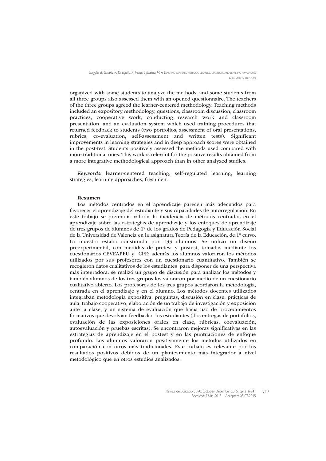organized with some students to analyze the methods, and some students from all three groups also assessed them with an opened questionnaire. The teachers of the three groups agreed the learner-centered methodology. Teaching methods included an expository methodology, questions, classroom discussion, classroom practices, cooperative work, conducting research work and classroom presentation, and an evaluation system which used training procedures that returned feedback to students (two portfolios, assessment of oral presentations, rubrics, co-evaluation, self-assessment and written tests). Significant improvements in learning strategies and in deep approach scores were obtained in the post-test. Students positively assessed the methods used compared with more traditional ones. This work is relevant for the positive results obtained from a more integrative methodological approach than in other analyzed studies.

Keywords: learner-centered teaching, self-regulated learning, learning strategies, learning approaches, freshmen.

#### Resumen

Los métodos centrados en el aprendizaje parecen más adecuados para favorecer el aprendizaje del estudiante y sus capacidades de autorregulación. En este trabajo se pretendía valorar la incidencia de métodos centrados en el aprendizaje sobre las estrategias de aprendizaje y los enfoques de aprendizaje de tres grupos de alumnos de 1º de los grados de Pedagogía y Educación Social de la Universidad de Valencia en la asignatura Teoría de la Educación, de 1º curso. La muestra estaba constituida por 133 alumnos. Se utilizó un diseño preexperimental, con medidas de pretest y postest, tomadas mediante los cuestionarios CEVEAPEU y CPE; además los alumnos valoraron los métodos utilizados por sus profesores con un cuestionario cuantitativo. También se recogieron datos cualitativos de los estudiantes para disponer de una perspectiva más integradora: se realizó un grupo de discusión para analizar los métodos y también alumnos de los tres grupos los valoraron por medio de un cuestionario cualitativo abierto. Los profesores de los tres grupos acordaron la metodología, centrada en el aprendizaje y en el alumno. Los métodos docentes utilizados integraban metodología expositiva, preguntas, discusión en clase, prácticas de aula, trabajo cooperativo, elaboración de un trabajo de investigación y exposición ante la clase, y un sistema de evaluación que hacía uso de procedimientos formativos que devolvían feedback a los estudiantes (dos entregas de portafolios, evaluación de las exposiciones orales en clase, rúbricas, coevaluación, autoevaluación y pruebas escritas). Se encontraron mejoras significativas en las estrategias de aprendizaje en el postest y en las puntuaciones de enfoque profundo. Los alumnos valoraron positivamente los métodos utilizados en comparación con otros más tradicionales. Este trabajo es relevante por los resultados positivos debidos de un planteamiento más integrador a nivel metodológico que en otros estudios analizados.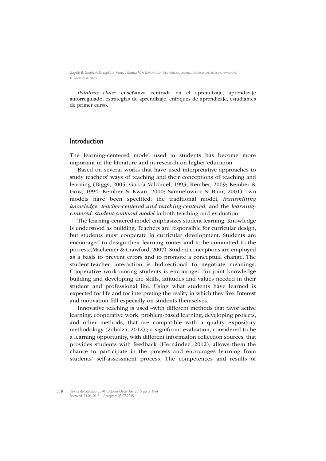Palabras clave: enseñanza centrada en el aprendizaje, aprendizaje autorregulado, estrategias de aprendizaje, enfoques de aprendizaje, estudiantes de primer curso.

## **Introduction**

The learning-centered model used in students has become more important in the literature and in research on higher education.

Based on several works that have used interpretative approaches to study teachers' ways of teaching and their conceptions of teaching and learning (Biggs, 2005; García Valcárcel, 1993; Kember, 2009; Kember & Gow, 1994; Kember & Kwan, 2000; Samuelowicz & Bain, 2001), two models have been specified: the traditional model, transmitting knowledge, teacher-centered and teaching-centered, and the learningcentered, student-centered model in both teaching and evaluation.

The learning-centered model emphasizes student learning. Knowledge is understood as building. Teachers are responsible for curricular design, but students must cooperate in curricular development. Students are encouraged to design their learning routes and to be committed to the process (Machemer & Crawford, 2007). Student conceptions are employed as a basis to prevent errors and to promote a conceptual change. The student-teacher interaction is bidirectional to negotiate meanings. Cooperative work among students is encouraged for joint knowledge building and developing the skills, attitudes and values needed in their student and professional life. Using what students have learned is expected for life and for interpreting the reality in which they live. Interest and motivation fall especially on students themselves.

Innovative teaching is used –with different methods that favor active learning: cooperative work, problem-based learning, developing projects, and other methods, that are compatible with a quality expository methodology (Zabalza, 2012)-; a significant evaluation, considered to be a learning opportunity, with different information collection sources, that provides students with feedback (Hernández, 2012), allows them the chance to participate in the process and encourages learning from students' self-assessment process. The competences and results of

<sup>218</sup> Revista de Educación, 370. October-December 2015, pp. 216-241 Received: 23-04-2015 Accepted: 08-07-2015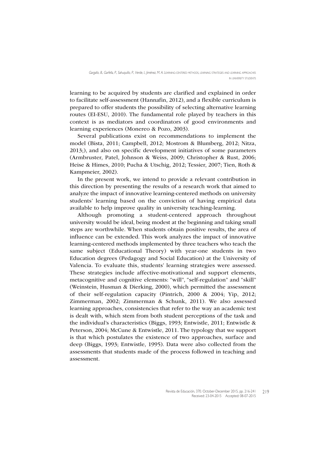learning to be acquired by students are clarified and explained in order to facilitate self-assessment (Hannafin, 2012), and a flexible curriculum is prepared to offer students the possibility of selecting alternative learning routes (EI-ESU, 2010). The fundamental role played by teachers in this context is as mediators and coordinators of good environments and learning experiences (Monereo & Pozo, 2003).

Several publications exist on recommendations to implement the model (Bista, 2011; Campbell, 2012; Mostrom & Blumberg, 2012; Nitza, 2013;), and also on specific development initiatives of some parameters (Armbruster, Patel, Johnson & Weiss, 2009; Christopher & Rust, 2006; Heise & Himes, 2010; Pucha & Utschig, 2012; Tessier, 2007; Tien, Roth & Kampmeier, 2002).

In the present work, we intend to provide a relevant contribution in this direction by presenting the results of a research work that aimed to analyze the impact of innovative learning-centered methods on university students' learning based on the conviction of having empirical data available to help improve quality in university teaching-learning.

Although promoting a student-centered approach throughout university would be ideal, being modest at the beginning and taking small steps are worthwhile. When students obtain positive results, the area of influence can be extended. This work analyzes the impact of innovative learning-centered methods implemented by three teachers who teach the same subject (Educational Theory) with year-one students in two Education degrees (Pedagogy and Social Education) at the University of Valencia. To evaluate this, students' learning strategies were assessed. These strategies include affective-motivational and support elements, metacognitive and cognitive elements: "will", "self-regulation" and "skill" (Weinstein, Husman & Dierking, 2000), which permitted the assessment of their self-regulation capacity (Pintrich, 2000 & 2004; Yip, 2012; Zimmerman, 2002; Zimmerman & Schunk, 2011). We also assessed learning approaches, consistencies that refer to the way an academic test is dealt with, which stem from both student perceptions of the task and the individual's characteristics (Biggs, 1993; Entwistle, 2011; Entwistle & Peterson, 2004; McCune & Entwistle, 2011. The typology that we support is that which postulates the existence of two approaches, surface and deep (Biggs, 1993; Entwistle, 1995). Data were also collected from the assessments that students made of the process followed in teaching and assessment.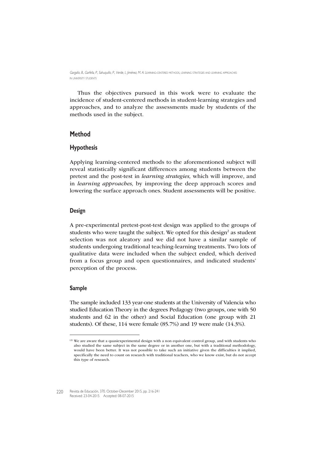Thus the objectives pursued in this work were to evaluate the incidence of student-centered methods in student-learning strategies and approaches, and to analyze the assessments made by students of the methods used in the subject.

## **Method**

## **Hypothesis**

Applying learning-centered methods to the aforementioned subject will reveal statistically significant differences among students between the pretest and the post-test in learning strategies, which will improve, and in *learning approaches*, by improving the deep approach scores and lowering the surface approach ones. Student assessments will be positive.

#### **Design**

A pre-experimental pretest-post-test design was applied to the groups of students who were taught the subject. We opted for this design<sup>2</sup> as student selection was not aleatory and we did not have a similar sample of students undergoing traditional teaching-learning treatments. Two lots of qualitative data were included when the subject ended, which derived from a focus group and open questionnaires, and indicated students' perception of the process.

#### **Sample**

The sample included 133 year-one students at the University of Valencia who studied Education Theory in the degrees Pedagogy (two groups, one with 50 students and 62 in the other) and Social Education (one group with 21 students). Of these, 114 were female (85.7%) and 19 were male (14.3%).

<sup>(2)</sup> We are aware that a quasiexperimental design with a non equivalent control group, and with students who also studied the same subject in the same degree or in another one, but with a traditional methodology, would have been better. It was not possible to take such an initiative given the difficulties it implied, specifically the need to count on research with traditional teachers, who we know exist, but do not accept this type of research.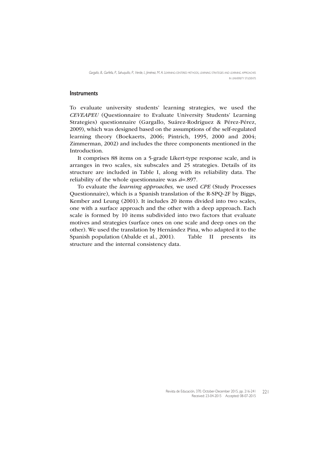#### **Instruments**

To evaluate university students' learning strategies, we used the CEVEAPEU (Questionnaire to Evaluate University Students' Learning Strategies) questionnaire (Gargallo, Suárez-Rodríguez & Pérez-Pérez, 2009), which was designed based on the assumptions of the self-regulated learning theory (Boekaerts, 2006; Pintrich, 1995, 2000 and 2004; Zimmerman, 2002) and includes the three components mentioned in the Introduction.

It comprises 88 items on a 5-grade Likert-type response scale, and is arranges in two scales, six subscales and 25 strategies. Details of its structure are included in Table I, along with its reliability data. The reliability of the whole questionnaire was  $a=0.897$ .

To evaluate the learning approaches, we used CPE (Study Processes Questionnaire), which is a Spanish translation of the R-SPQ-2F by Biggs, Kember and Leung (2001). It includes 20 items divided into two scales, one with a surface approach and the other with a deep approach. Each scale is formed by 10 items subdivided into two factors that evaluate motives and strategies (surface ones on one scale and deep ones on the other). We used the translation by Hernández Pina, who adapted it to the Spanish population (Abalde et al., 2001). Table II presents its structure and the internal consistency data.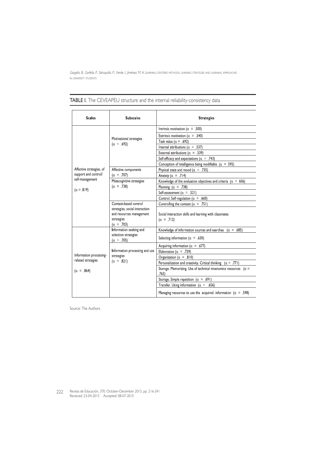| <b>Scales</b>                                | <b>Subscales</b>                                                                              | <b>Strategies</b>                                                               |
|----------------------------------------------|-----------------------------------------------------------------------------------------------|---------------------------------------------------------------------------------|
|                                              |                                                                                               | Intrinsic motivation ( $\alpha = .500$ )                                        |
|                                              |                                                                                               | Extrinsic motivation ( $\alpha$ = .540)                                         |
|                                              | Motivational strategies<br>$(\alpha = .692)$                                                  | Task value ( $\alpha = .692$ )                                                  |
|                                              |                                                                                               | Internal attributions ( $\alpha = .537$ )                                       |
|                                              |                                                                                               | External attributions ( $\alpha$ = .539)                                        |
|                                              |                                                                                               | Self-efficacy and expectations ( $\alpha$ = .743)                               |
|                                              |                                                                                               | Conception of intelligence being modifiable ( $\alpha$ = 595)                   |
| Affective strategies, of                     | Affective components                                                                          | Physical state and mood ( $\alpha$ = .735)                                      |
| support and control/                         | $(\alpha = .707)$                                                                             | Anxiety ( $\alpha$ = .714)                                                      |
| self-management                              | Metacognitive strategies                                                                      | Knowledge of the evaluation objectives and criteria ( $\alpha = 606$ )          |
| $(\alpha = .819)$                            | $(\alpha = .738)$                                                                             | Planning ( $\alpha$ = .738)                                                     |
|                                              |                                                                                               | Self-assessment ( $\alpha$ = .521)                                              |
|                                              |                                                                                               | Control. Self-regulation ( $\alpha$ = .660)                                     |
|                                              | Context based control                                                                         | Controlling the context ( $\alpha$ = .751)                                      |
|                                              | strategies, social interaction<br>and resources management<br>strategies<br>$(\alpha = .703)$ | Social interaction skills and learning with classmates<br>$(\alpha = .712)$     |
|                                              | Information seeking and                                                                       | Knowledge of information sources and searches $(\alpha = .685)$                 |
|                                              | selection strategies<br>$(\alpha = .705)$                                                     | Selecting information ( $\alpha$ = .630)                                        |
|                                              |                                                                                               | Acquiring information ( $\alpha$ = .677)                                        |
|                                              | Information processing and use                                                                | Elaboration ( $\alpha$ = .739)                                                  |
| Information processing<br>related strategies | strategies                                                                                    | Organization ( $\alpha$ = .810)                                                 |
|                                              | $(\alpha = .821)$                                                                             | Personalization and creativity. Critical thinking $(\alpha = .771)$             |
| $(\alpha = .864)$                            |                                                                                               | Storage. Memorizing. Use of technical mnenomics resources ( $\alpha$ =<br>.765) |
|                                              |                                                                                               | Storage. Simple repetition ( $\alpha = .691$ )                                  |
|                                              |                                                                                               | Transfer. Using information ( $\alpha = .656$ )                                 |
|                                              |                                                                                               | Managing resources to use the acquired information ( $\alpha = .598$ )          |

TABLE I. The CEVEAPEU structure and the internal reliability-consistency data

Source: The Authors

Revista de Educación, 370. October-December 2015, pp. 216-241 222 Revista de Educación, 370. October-December<br>Received: 23-04-2015 Accepted: 08-07-2015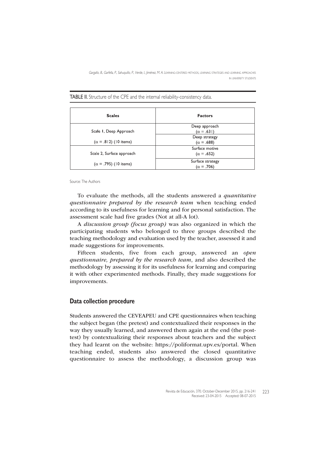TABLE II. Structure of the CPE and the internal reliability-consistency data.

| <b>Scales</b>                | <b>Factors</b>    |
|------------------------------|-------------------|
|                              | Deep approach     |
| Scale I, Deep Approach       | $(\alpha = .631)$ |
|                              | Deep strategy     |
| $(\alpha = .812)$ (10 items) | $(\alpha = .688)$ |
|                              | Surface motive    |
| Scale 2, Surface approach    | $(\alpha = .652)$ |
| $(\alpha = .795)$ (10 items) | Surface strategy  |
|                              | $(\alpha = .706)$ |

Source: The Authors

To evaluate the methods, all the students answered a quantitative questionnaire prepared by the research team when teaching ended according to its usefulness for learning and for personal satisfaction. The assessment scale had five grades (Not at all-A lot).

A discussion group (focus group) was also organized in which the participating students who belonged to three groups described the teaching methodology and evaluation used by the teacher, assessed it and made suggestions for improvements.

Fifteen students, five from each group, answered an open questionnaire, prepared by the research team, and also described the methodology by assessing it for its usefulness for learning and comparing it with other experimented methods. Finally, they made suggestions for improvements.

#### **Data collection procedure**

Students answered the CEVEAPEU and CPE questionnaires when teaching the subject began (the pretest) and contextualized their responses in the way they usually learned, and answered them again at the end (the posttest) by contextualizing their responses about teachers and the subject they had learnt on the website: https://poliformat.upv.es/portal. When teaching ended, students also answered the closed quantitative questionnaire to assess the methodology, a discussion group was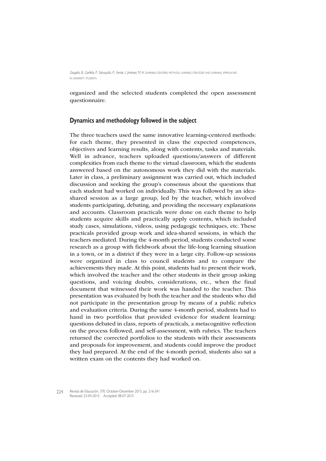organized and the selected students completed the open assessment questionnaire.

#### **Dynamics and methodology followed in the subject**

The three teachers used the same innovative learning-centered methods: for each theme, they presented in class the expected competences, objectives and learning results, along with contents, tasks and materials. Well in advance, teachers uploaded questions/answers of different complexities from each theme to the virtual classroom, which the students answered based on the autonomous work they did with the materials. Later in class, a preliminary assignment was carried out, which included discussion and seeking the group's consensus about the questions that each student had worked on individually. This was followed by an ideashared session as a large group, led by the teacher, which involved students participating, debating, and providing the necessary explanations and accounts. Classroom practicals were done on each theme to help students acquire skills and practically apply contents, which included study cases, simulations, videos, using pedagogic techniques, etc. These practicals provided group work and idea-shared sessions, in which the teachers mediated. During the 4-month period, students conducted some research as a group with fieldwork about the life-long learning situation in a town, or in a district if they were in a large city. Follow-up sessions were organized in class to council students and to compare the achievements they made. At this point, students had to present their work, which involved the teacher and the other students in their group asking questions, and voicing doubts, considerations, etc., when the final document that witnessed their work was handed to the teacher. This presentation was evaluated by both the teacher and the students who did not participate in the presentation group by means of a public rubrics and evaluation criteria. During the same 4-month period, students had to hand in two portfolios that provided evidence for student learning: questions debated in class, reports of practicals, a metacognitive reflection on the process followed, and self-assessment, with rubrics. The teachers returned the corrected portfolios to the students with their assessments and proposals for improvement, and students could improve the product they had prepared. At the end of the 4-month period, students also sat a written exam on the contents they had worked on.

Revista de Educación, 370. October-December 2015, pp. 216-241 Received: 23-04-2015 Accepted: 08-07-2015 224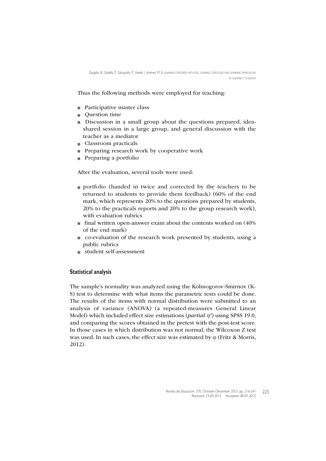Thus the following methods were employed for teaching:

- Participative master class
- Question time
- Discussion in a small group about the questions prepared, ideashared session in a large group, and general discussion with the teacher as a mediator
- Classroom practicals
- **Preparing research work by cooperative work**
- $\blacksquare$  Preparing a portfolio

After the evaluation, several tools were used:

- portfolio (handed in twice and corrected by the teachers to be returned to students to provide them feedback) (60% of the end mark, which represents 20% to the questions prepared by students, 20% to the practicals reports and 20% to the group research work), with evaluation rubrics
- $\blacksquare$  final written open-answer exam about the contents worked on (40%) of the end mark)
- co-evaluation of the research work presented by students, using a public rubrics
- student self-assessment

### **Statistical analysis**

The sample's normality was analyzed using the Kolmogorov-Smirnov (K-S) test to determine with what items the parametric tests could be done. The results of the items with normal distribution were submitted to an analysis of variance (ANOVA) (a repeated-measures General Linear Model) which included effect size estimations (*partial*  $\eta^2$ ) using SPSS 19.0, and comparing the scores obtained in the pretest with the post-test score. In those cases in which distribution was not normal, the Wilcoxon Z test was used. In such cases, the effect size was estimated by  $\varphi$  (Fritz & Morris, 2012).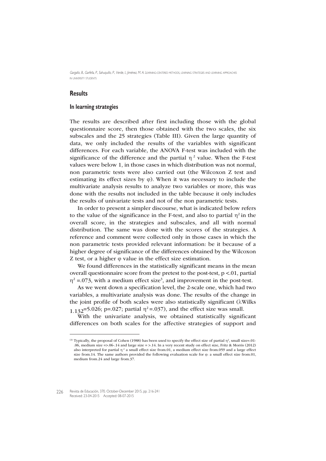### **Results**

#### **In learning strategies**

The results are described after first including those with the global questionnaire score, then those obtained with the two scales, the six subscales and the 25 strategies (Table III). Given the large quantity of data, we only included the results of the variables with significant differences. For each variable, the ANOVA F-test was included with the significance of the difference and the partial  $\eta^2$  value. When the F-test values were below 1, in those cases in which distribution was not normal, non parametric tests were also carried out (the Wilcoxon Z test and estimating its effect sizes by  $\varphi$ ). When it was necessary to include the multivariate analysis results to analyze two variables or more, this was done with the results not included in the table because it only includes the results of univariate tests and not of the non parametric tests.

In order to present a simpler discourse, what is indicated below refers to the value of the significance in the F-test, and also to partial  $\eta^2$  in the overall score, in the strategies and subscales, and all with normal distribution. The same was done with the scores of the strategies. A reference and comment were collected only in those cases in which the non parametric tests provided relevant information: be it because of a higher degree of significance of the differences obtained by the Wilcoxon Z test, or a higher ϕ value in the effect size estimation.

We found differences in the statistically significant means in the mean overall questionnaire score from the pretest to the post-test,  $p < 01$ , partial  $\eta^2$  =.073, with a medium effect size<sup>3</sup>, and improvement in the post-test.

As we went down a specification level, the 2-scale one, which had two variables, a multivariate analysis was done. The results of the change in the joint profile of both scales were also statistically significant (λWilks 1.132=5.026; p=.027; partial  $η^2$ =.037), and the effect size was small.

With the univariate analysis, we obtained statistically significant differences on both scales for the affective strategies of support and

<sup>(3)</sup> Typically, the proposal of Cohen (1988) has been used to specify the effect size of partial  $\eta^2$ , small size=.01-.06, medium size =>.06-.14 and large size = >.14. In a very recent study on effect size, Fritz & Morris (2012) also interpreted for partial  $\eta^2$  a small effect size from.01, a medium effect size from.059 and a large effect size from.14. The same authors provided the following evaluation scale for  $\varphi$ : a small effect size from.01, medium from.24 and large from.37.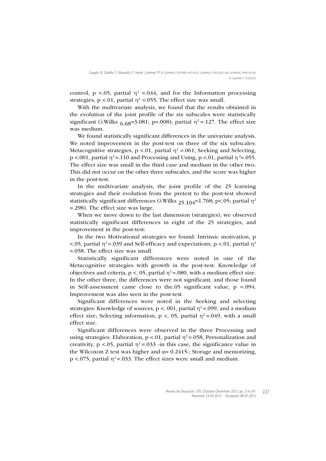control, p <.05, partial  $\eta^2$  =.044, and for the Information processing strategies,  $p < 0.01$ , partial  $\eta^2 = 0.055$ . The effect size was small.

With the multivariate analysis, we found that the results obtained in the evolution of the joint profile of the six subscales were statistically significant ( $\lambda$ Wilks 6.68=3.081; p=.008); partial  $\eta^2$ =.127. The effect size was medium.

We found statistically significant differences in the univariate analysis. We noted improvement in the post-test on three of the six subscales: Metacognitive strategies,  $p < 0.01$ , partial  $\eta^2 = 0.061$ , Seeking and Selecting, p <.001, partial  $\eta^2$ =.110 and Processing and Using, p <.01, partial  $\eta^2$ =.055. The effect size was small in the third case and medium in the other two. This did not occur on the other three subscales, and the score was higher in the post-test.

In the multivariate analysis, the joint profile of the 25 learning strategies and their evolution from the pretest to the post-test showed statistically significant differences ( $\lambda$ Wilks 25.104=1.768; p<.05; partial  $\eta^2$ =.298). The effect size was large.

When we move down to the last dimension (strategies), we observed statistically significant differences in eight of the 25 strategies, and improvement in the post-test:

In the two Motivational strategies we found: Intrinsic motivation, p  $\lt$ .05, partial  $\eta^2$ =.039 and Self-efficacy and expectations, p  $\lt$ .01, partial  $\eta^2$ =.058. The effect size was small.

Statistically significant differences were noted in one of the Metacognitive strategies with growth in the post-test: Knowledge of objectives and criteria,  $p < 0.05$ , partial  $\eta^2 = 0.080$ , with a medium effect size. In the other three, the differences were not significant, and those found in Self-assessment came close to the.05 significant value,  $p = 0.094$ . Improvement was also seen in the post-test.

Significant differences were noted in the Seeking and selecting strategies: Knowledge of sources,  $p < 0.01$ , partial  $\eta^2 = 0.099$ , and a medium effect size; Selecting information,  $p < 0.05$ , partial  $\eta^2 = 0.049$ , with a small effect size.

Significant differences were observed in the three Processing and using strategies: Elaboration,  $p < 0.01$ , partial  $\eta^2 = 0.058$ , Personalization and creativity, p <.05, partial  $\eta^2$  =.033 -in this case, the significance value in the Wilcoxon Z test was higher and  $\varphi$ = 0.2415-; Storage and memorizing, p <.075, partial  $\eta^2$ =.033. The effect sizes were small and medium.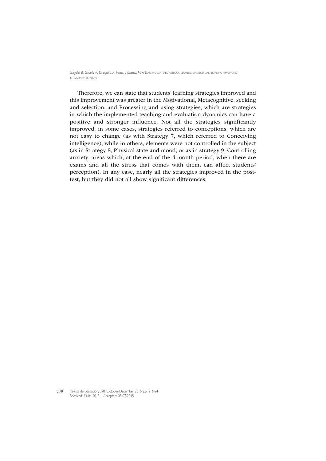Therefore, we can state that students' learning strategies improved and this improvement was greater in the Motivational, Metacognitive, seeking and selection, and Processing and using strategies, which are strategies in which the implemented teaching and evaluation dynamics can have a positive and stronger influence. Not all the strategies significantly improved: in some cases, strategies referred to conceptions, which are not easy to change (as with Strategy 7, which referred to Conceiving intelligence), while in others, elements were not controlled in the subject (as in Strategy 8, Physical state and mood, or as in strategy 9, Controlling anxiety, areas which, at the end of the 4-month period, when there are exams and all the stress that comes with them, can affect students' perception). In any case, nearly all the strategies improved in the posttest, but they did not all show significant differences.

Revista de Educación, 370. October-December 2015, pp. 216-241 228Received: 23-04-2015 Accepted: 08-07-2015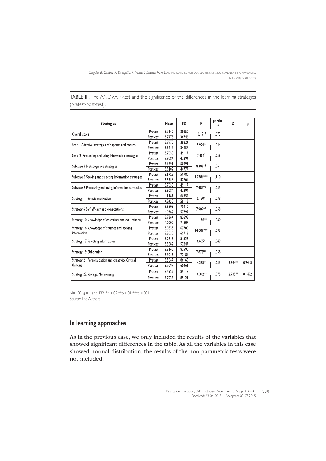TABLE III. The ANOVA F-test and the significance of the differences in the learning strategies (pretest-post-test).

| <b>Strategies</b>                                       |           | Mean   | <b>SD</b> | F          | partial<br>n <sup>2</sup> | Z          | $\emptyset$ |
|---------------------------------------------------------|-----------|--------|-----------|------------|---------------------------|------------|-------------|
| Overall score                                           | Pretest   | 3.7140 | .38650    | $10.151*$  | .073                      |            |             |
|                                                         | Post-test | 3.7978 | .36746    |            |                           |            |             |
| Scale   Affective strategies of support and control     | Pretest   | 3.7970 | .38224    | $5.924*$   | .044                      |            |             |
|                                                         | Post-test | 3.8617 | .34457    |            |                           |            |             |
|                                                         | Pretest   | 3.7050 | .49117    | $7.484*$   | .055                      |            |             |
| Scale 2 Processing and using information strategies     | Post-test | 3.8084 | .47394    |            |                           |            |             |
| Subscale 3 Metacognitive strategies                     | Pretest   | 3.6891 | .50991    | $8.303**$  | .061                      |            |             |
|                                                         | Post-test | 3.8102 | .44777    |            |                           |            |             |
| Subscale 5 Seeking and selecting information strategies | Pretest   | 3.1725 | .50780    | 15.784***  | .110                      |            |             |
|                                                         | Post-test | 3.3356 | .52204    |            |                           |            |             |
| Subscale 6 Processing and using information strategies  | Pretest   | 3.7050 | .49117    | 7.484**    | .055                      |            |             |
|                                                         | Post-test | 3.8084 | .47394    |            |                           |            |             |
| Strategy   Intrinsic motivation                         | Pretest   | 4.1189 | .60352    | $5.130*$   | .039                      |            |             |
|                                                         | Post-test | 4.2455 | .58113    |            |                           |            |             |
| Strategy 6 Self-efficacy and expectations               | Pretest   | 3.8805 | .70410    | 7.909**    | .058                      |            |             |
|                                                         | Post-test | 4.0362 | .57799    |            |                           |            |             |
| Strategy 10 Knowledge of objectives and eval. criteria  | Pretest   | 3.7364 | .82698    | $11.186**$ | .080                      |            |             |
|                                                         | Post-test | 4.0000 | .71807    |            |                           |            |             |
| Strategy 16 Knowledge of sources and seeking            | Pretest   | 3.0833 | .67700    | 14.002***  | .099                      |            |             |
| information                                             | Post-test | 3.3030 | .69713    |            |                           |            |             |
| Strategy 17 Selecting information                       | Pretest   | 3.2616 | .51526    | $6.605*$   | .049                      |            |             |
|                                                         | Post-test | 3.3682 | .52247    |            |                           |            |             |
| Strategy 19 Elaboration                                 | Pretest   | 3.3140 | .87590    | 7.872**    | .058                      |            |             |
|                                                         | Post-test | 3.5013 | .72184    |            |                           |            |             |
| Strategy 21 Personalization and creativity, Critical    | Pretest   | 3.5647 | .86165    | 4.385*     | .033                      | $-3.344**$ | 0.2415      |
| thinking                                                | Post-test | 3.7097 | .65461    |            |                           |            |             |
| Strategy 22 Storage, Memorizing                         | Pretest   | 3.4922 | 89118     | $10.342**$ | .075                      | $-2.735**$ | 0.1452      |
|                                                         | Post-test | 3.7028 | .89121    |            |                           |            |             |

N= 133; gl= 1 and 132; \*p <.05 \*\*p <.01 \*\*\*p <.001 Source: The Authors

## **In learning approaches**

As in the previous case, we only included the results of the variables that showed significant differences in the table. As all the variables in this case showed normal distribution, the results of the non parametric tests were not included.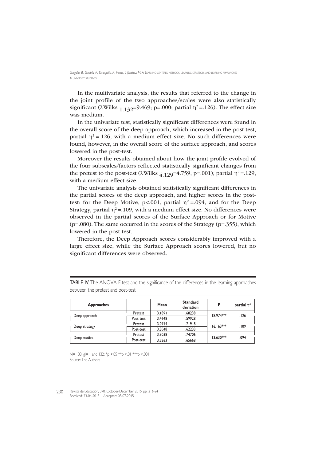In the multivariate analysis, the results that referred to the change in the joint profile of the two approaches/scales were also statistically significant ( $\lambda$ Wilks <sub>1.132</sub>=9.469; p=.000; partial  $\eta^2$ =.126). The effect size was medium.

In the univariate test, statistically significant differences were found in the overall score of the deep approach, which increased in the post-test, partial  $\eta^2$  =.126, with a medium effect size. No such differences were found, however, in the overall score of the surface approach, and scores lowered in the post-test.

Moreover the results obtained about how the joint profile evolved of the four subscales/factors reflected statistically significant changes from the pretest to the post-test ( $\lambda$ Wilks  $_4$  129=4.759; p=.001); partial  $\eta$ <sup>2</sup>=.129, with a medium effect size.

The univariate analysis obtained statistically significant differences in the partial scores of the deep approach, and higher scores in the posttest: for the Deep Motive,  $p < .001$ , partial  $\eta^2 = .094$ , and for the Deep Strategy, partial  $\eta^2$  = 109, with a medium effect size. No differences were observed in the partial scores of the Surface Approach or for Motive (p=.080). The same occurred in the scores of the Strategy (p=.355), which lowered in the post-test.

Therefore, the Deep Approach scores considerably improved with a large effect size, while the Surface Approach scores lowered, but no significant differences were observed.

| <b>Approaches</b> |           | Mean   | <b>Standard</b><br>deviation | F           | partial $\eta^2$ |
|-------------------|-----------|--------|------------------------------|-------------|------------------|
|                   | Pretest   | 3.1891 | .68238                       | 18.974***   | .126             |
| Deep approach     | Post-test | 3.4148 | .59928                       |             |                  |
|                   | Pretest   | 3.0744 | .71918                       | $16.163***$ | . 109            |
| Deep strategy     | Post-test | 3.3048 | .62233                       |             |                  |
|                   | Pretest   | 3.3038 | .74706                       |             |                  |
| Deep motive       | Post-test | 3.5263 | .65668                       | $13.630***$ | .094             |

TABLE IV. The ANOVA F-test and the significance of the differences in the learning approaches between the pretest and post-test.

N= 133; gl= 1 and 132; \*p <.05 \*\*p <.01 \*\*\*p <.001 Source: The Authors

Revista de Educación, 370. October-December 2015, pp. 216-241 230Received: 23-04-2015 Accepted: 08-07-2015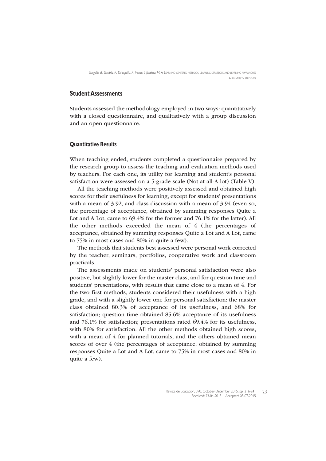## **Student Assessments**

Students assessed the methodology employed in two ways: quantitatively with a closed questionnaire, and qualitatively with a group discussion and an open questionnaire.

#### **Quantitative Results**

When teaching ended, students completed a questionnaire prepared by the research group to assess the teaching and evaluation methods used by teachers. For each one, its utility for learning and student's personal satisfaction were assessed on a 5-grade scale (Not at all-A lot) (Table V).

All the teaching methods were positively assessed and obtained high scores for their usefulness for learning, except for students' presentations with a mean of 3.92, and class discussion with a mean of 3.94 (even so, the percentage of acceptance, obtained by summing responses Quite a Lot and A Lot, came to 69.4% for the former and 76.1% for the latter). All the other methods exceeded the mean of 4 (the percentages of acceptance, obtained by summing responses Quite a Lot and A Lot, came to 75% in most cases and 80% in quite a few).

The methods that students best assessed were personal work corrected by the teacher, seminars, portfolios, cooperative work and classroom practicals.

The assessments made on students' personal satisfaction were also positive, but slightly lower for the master class, and for question time and students' presentations, with results that came close to a mean of 4. For the two first methods, students considered their usefulness with a high grade, and with a slightly lower one for personal satisfaction: the master class obtained 80.3% of acceptance of its usefulness, and 68% for satisfaction; question time obtained 85.6% acceptance of its usefulness and 76.1% for satisfaction; presentations rated 69.4% for its usefulness, with 80% for satisfaction. All the other methods obtained high scores, with a mean of 4 for planned tutorials, and the others obtained mean scores of over 4 (the percentages of acceptance, obtained by summing responses Quite a Lot and A Lot, came to 75% in most cases and 80% in quite a few).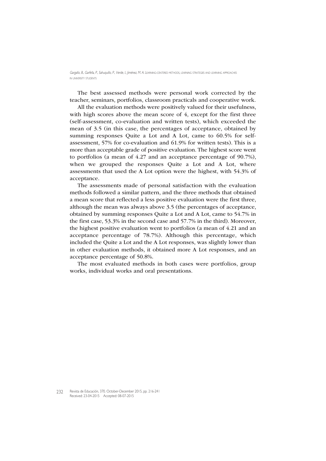The best assessed methods were personal work corrected by the teacher, seminars, portfolios, classroom practicals and cooperative work.

All the evaluation methods were positively valued for their usefulness, with high scores above the mean score of 4, except for the first three (self-assessment, co-evaluation and written tests), which exceeded the mean of 3.5 (in this case, the percentages of acceptance, obtained by summing responses Quite a Lot and A Lot, came to 60.5% for selfassessment, 57% for co-evaluation and 61.9% for written tests). This is a more than acceptable grade of positive evaluation. The highest score went to portfolios (a mean of 4.27 and an acceptance percentage of 90.7%), when we grouped the responses Quite a Lot and A Lot, where assessments that used the A Lot option were the highest, with 54.3% of acceptance.

The assessments made of personal satisfaction with the evaluation methods followed a similar pattern, and the three methods that obtained a mean score that reflected a less positive evaluation were the first three, although the mean was always above 3.5 (the percentages of acceptance, obtained by summing responses Quite a Lot and A Lot, came to 54.7% in the first case, 53.3% in the second case and 57.7% in the third). Moreover, the highest positive evaluation went to portfolios (a mean of 4.21 and an acceptance percentage of 78.7%). Although this percentage, which included the Quite a Lot and the A Lot responses, was slightly lower than in other evaluation methods, it obtained more A Lot responses, and an acceptance percentage of 50.8%.

The most evaluated methods in both cases were portfolios, group works, individual works and oral presentations.

Revista de Educación, 370. October-December 2015, pp. 216-241 232 Received: 23-04-2015 Accepted: 08-07-2015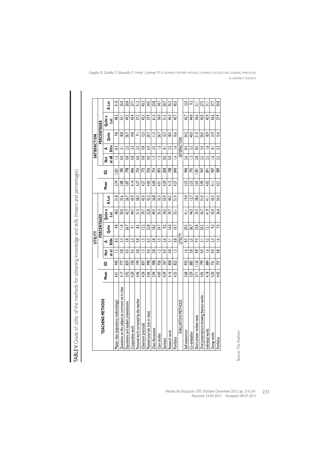| 4.46<br>4.26<br>439<br>Mean<br>3.92<br>4.30<br>4.06<br>3.94<br>4.00<br>4.17<br>4.01<br>Questions on the subject to comment on in class<br>TEACHING METHODS<br>Personal work corrected by the teacher<br>Master class (expository methodology)<br>Expositions and student presentations<br>Planned tutorials (not in class)<br>Classroom practicals<br>Cooperative work<br>Class discussions<br>Case studies<br>Seminars |                  |                         | NITILITY       |                       |               |                 |          |                 |                      | <b>SATISFACTION</b> |                 |                      |                 |
|-------------------------------------------------------------------------------------------------------------------------------------------------------------------------------------------------------------------------------------------------------------------------------------------------------------------------------------------------------------------------------------------------------------------------|------------------|-------------------------|----------------|-----------------------|---------------|-----------------|----------|-----------------|----------------------|---------------------|-----------------|----------------------|-----------------|
|                                                                                                                                                                                                                                                                                                                                                                                                                         |                  |                         |                | PERCENTAGES           |               |                 |          |                 |                      |                     | PERCENTAGES     |                      |                 |
|                                                                                                                                                                                                                                                                                                                                                                                                                         | SD               | at all<br>ž             | little<br>⋖    | Quite                 | Quite a<br>ă  | A Lot           | Mean     | S.              | at all<br>ă          | İttle<br>⋖          | Quite           | Quite a<br>$\vec{a}$ | <b>A</b> Lot    |
|                                                                                                                                                                                                                                                                                                                                                                                                                         | 945              | Ľ                       | ූ              | 93                    | 48.5          | $\frac{8}{218}$ | 3.74     | 031             | Ľ                    | යූ                  | 98              | 48.5                 | $\frac{318}{2}$ |
|                                                                                                                                                                                                                                                                                                                                                                                                                         | TTT.             | $\frac{8}{1}$           | 23             | $\stackrel{4}{=}$     | 50.0          | 35.6            | 3.88     | .785            | So                   | ಸ                   | $\frac{8.8}{8}$ | డె                   | 25.0            |
|                                                                                                                                                                                                                                                                                                                                                                                                                         | 829              | $\overline{0}$          | $\frac{8}{3}$  | 26.7                  | 42,7          | 26.7            | 3.87     | 798             | $\frac{8}{1}$        | 25                  | 26.7            | 49,2                 | 20.8            |
|                                                                                                                                                                                                                                                                                                                                                                                                                         | 730              | $\overline{0}$          | 23             | ್                     | 44,7          | 43.9            | 4.14     | 846             | $\frac{8}{2}$        | 33                  | 14.8            | 43.4                 | 37.7            |
|                                                                                                                                                                                                                                                                                                                                                                                                                         | 749              | $\frac{8}{1}$           | $\frac{8}{1}$  | 33                    | $\frac{1}{2}$ | 58.5            | 4.37     | .754            | o.o                  | 2.5                 | ᇹ               | 37.2                 | 51.2            |
|                                                                                                                                                                                                                                                                                                                                                                                                                         | 837              | Ŀ                       | $\overline{a}$ | $\overline{22}$       | 39.7          | 45.0            | 4.27     | 775             | $\frac{8}{1}$        | $\frac{8}{2}$       | $\frac{25}{2}$  | 42,5                 | 43.3            |
|                                                                                                                                                                                                                                                                                                                                                                                                                         | 998              | $\overline{0}$          | 59             | 25.8                  | 228           | 45.2            | 4.00     | 926             | $\overline{0}$       | 6.9                 | 20.7            | 37.9                 | 34,5            |
|                                                                                                                                                                                                                                                                                                                                                                                                                         | 908              | 28                      | 28             | $\frac{2}{3}$         | 493           | 26.8            | 4.04     | .754            | $\tilde{=}$          | 25                  | $\equiv$        | $\frac{3}{5}$        | 23.8            |
|                                                                                                                                                                                                                                                                                                                                                                                                                         | 926              | $\overline{\mathbf{C}}$ | 35             | 24.7                  | 35.3          | 35.3            | 4.01     | 893             | ņ                    | $\tilde{=}$         | 26.7            | 36.0                 | 34.7            |
|                                                                                                                                                                                                                                                                                                                                                                                                                         | 767              | S                       | 2.6            | $\tilde{\mathcal{S}}$ | 34.2          | 53,9            | 4.29     | 858             | $\overline{0}$       | $\overline{+}$      | 13.7            | $\frac{15}{2}$       | 50.7            |
| 416<br>Research work                                                                                                                                                                                                                                                                                                                                                                                                    | 858              | 8                       | ಸ              | <b>S.9</b>            | 39.7          | 40.5            | 412      | 788             | O.O                  | 25                  | $\frac{8.0}{2}$ | 43                   | 35.2            |
| 4.35<br>Portfolios                                                                                                                                                                                                                                                                                                                                                                                                      | 822              | $\overline{a}$          | 8              | $\overline{0}$        | 35.1          | $\frac{5}{2}$   | 4.27     | 840             | $\frac{6}{1}$        | $\frac{6}{1}$       | $\frac{6}{10}$  | 40,7                 | 45.5            |
| EVALUATION METHODS                                                                                                                                                                                                                                                                                                                                                                                                      |                  |                         | VTILITY        |                       |               |                 |          |                 |                      | SATISFACTION        |                 |                      |                 |
| 3.68<br>Self-assessment                                                                                                                                                                                                                                                                                                                                                                                                 | 935              | $\frac{6}{1}$           | 53             | 29.5                  | $\frac{1}{4}$ | 194             | 353      | 906             | 2.6                  | 53                  | 34.2            | 42,7                 | 12.0            |
| 3.59<br>Co-evaluation                                                                                                                                                                                                                                                                                                                                                                                                   | 885              | 38                      | 2.5            | 36.7                  | 43            | 127             | 3.55     | 793             | $\tilde{\mathbf{c}}$ | S                   | 40.0            | 44.0                 | 3               |
| 371<br>Short-answer written tests                                                                                                                                                                                                                                                                                                                                                                                       | $\frac{1}{26}$   | 48                      | 56             | 23.8                  | 333           | 28.6            | 3.65     | $\overline{00}$ | 2.8                  | 53                  | $\frac{0}{2}$   | 36,6                 | $\overline{=}$  |
| 4.05<br>Oral presentations showing theme s-works                                                                                                                                                                                                                                                                                                                                                                        | ,799             | $\overline{0}$          | ಸ              | 20.2                  | 45,7          | $\frac{1}{3}$   | 3.90     | 947             | 25                   | $\frac{6}{2}$       | 20.0            | 45.0                 | 27.5            |
| 4.18<br>Individual works                                                                                                                                                                                                                                                                                                                                                                                                | 884              | $\leq$                  | $\ddot{3}$     | $\bar{\mathbf{q}}$    | 41.9          | $\frac{1}{4}$   | 4.02     | 89              | 25                   | $\tilde{=}$         | $\frac{8.9}{2}$ | 45,9                 | $\equiv$        |
| 4.30<br>Group works                                                                                                                                                                                                                                                                                                                                                                                                     | $\overline{.73}$ | $\frac{0}{2}$           | 23             | $\approx$             | 45.0          | 43,5            | $\equiv$ | 50              | ع                    | ₹                   | $\frac{3}{9}$   | 42.6                 | 37.7            |
| 442<br>Portfolios                                                                                                                                                                                                                                                                                                                                                                                                       | 757              | $\frac{8}{2}$           | $\tilde{=}$    | $\overline{2}$        | 36.4          | 543             | 421      | 989             | 25                   | 33                  | 15.6            | 27.9                 | 50.8            |

TABLEY. Grade of utility of the methods for obtaining knowledge and skills (means and percentages) TABLE V. Grade of utility of the methods for obtaining knowledge and skills (means and percentages)

Source: The Authors Source: The Authors

Revista de Educación, 370. October-December 2015, pp. 216-241 Received: 23-04-2015 Accepted: 08-07-2015 233

Gargallo, B., Garfella, P., Sahuquillo, P., Verde, I., Jiménez, M. A. LEARNING-CENTERED METHODS, LEARNING STRATEGIES AND LEARNING APPROACHES IN UNIVERSITY STUDENTS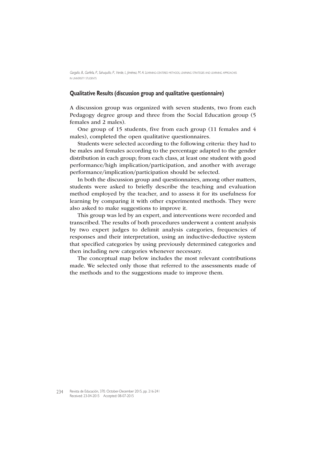#### **Qualitative Results (discussion group and qualitative questionnaire)**

A discussion group was organized with seven students, two from each Pedagogy degree group and three from the Social Education group (5 females and 2 males).

One group of 15 students, five from each group (11 females and 4 males), completed the open qualitative questionnaires.

Students were selected according to the following criteria: they had to be males and females according to the percentage adapted to the gender distribution in each group; from each class, at least one student with good performance/high implication/participation, and another with average performance/implication/participation should be selected.

In both the discussion group and questionnaires, among other matters, students were asked to briefly describe the teaching and evaluation method employed by the teacher, and to assess it for its usefulness for learning by comparing it with other experimented methods. They were also asked to make suggestions to improve it.

This group was led by an expert, and interventions were recorded and transcribed. The results of both procedures underwent a content analysis by two expert judges to delimit analysis categories, frequencies of responses and their interpretation, using an inductive-deductive system that specified categories by using previously determined categories and then including new categories whenever necessary.

The conceptual map below includes the most relevant contributions made. We selected only those that referred to the assessments made of the methods and to the suggestions made to improve them.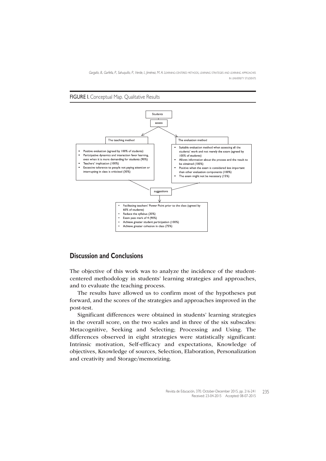

## **Discussion and Conclusions**

The objective of this work was to analyze the incidence of the studentcentered methodology in students' learning strategies and approaches, and to evaluate the teaching process.

The results have allowed us to confirm most of the hypotheses put forward, and the scores of the strategies and approaches improved in the post-test.

Significant differences were obtained in students' learning strategies in the overall score, on the two scales and in three of the six subscales: Metacognitive, Seeking and Selecting; Processing and Using. The differences observed in eight strategies were statistically significant: Intrinsic motivation, Self-efficacy and expectations, Knowledge of objectives, Knowledge of sources, Selection, Elaboration, Personalization and creativity and Storage/memorizing.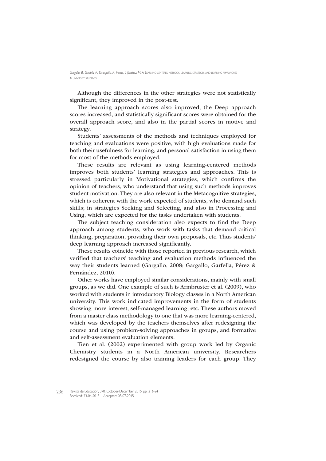Although the differences in the other strategies were not statistically significant, they improved in the post-test.

The learning approach scores also improved, the Deep approach scores increased, and statistically significant scores were obtained for the overall approach score, and also in the partial scores in motive and strategy.

Students' assessments of the methods and techniques employed for teaching and evaluations were positive, with high evaluations made for both their usefulness for learning, and personal satisfaction in using them for most of the methods employed.

These results are relevant as using learning-centered methods improves both students' learning strategies and approaches. This is stressed particularly in Motivational strategies, which confirms the opinion of teachers, who understand that using such methods improves student motivation. They are also relevant in the Metacognitive strategies, which is coherent with the work expected of students, who demand such skills; in strategies Seeking and Selecting, and also in Processing and Using, which are expected for the tasks undertaken with students.

The subject teaching consideration also expects to find the Deep approach among students, who work with tasks that demand critical thinking, preparation, providing their own proposals, etc. Thus students' deep learning approach increased significantly.

These results coincide with those reported in previous research, which verified that teachers' teaching and evaluation methods influenced the way their students learned (Gargallo, 2008; Gargallo, Garfella, Pérez & Fernández, 2010).

Other works have employed similar considerations, mainly with small groups, as we did. One example of such is Armbruster et al. (2009), who worked with students in introductory Biology classes in a North American university. This work indicated improvements in the form of students showing more interest, self-managed learning, etc. These authors moved from a master class methodology to one that was more learning-centered, which was developed by the teachers themselves after redesigning the course and using problem-solving approaches in groups, and formative and self-assessment evaluation elements.

Tien et al. (2002) experimented with group work led by Organic Chemistry students in a North American university. Researchers redesigned the course by also training leaders for each group. They

Revista de Educación, 370. October-December 2015, pp. 216-241 Received: 23-04-2015 Accepted: 08-07-2015 236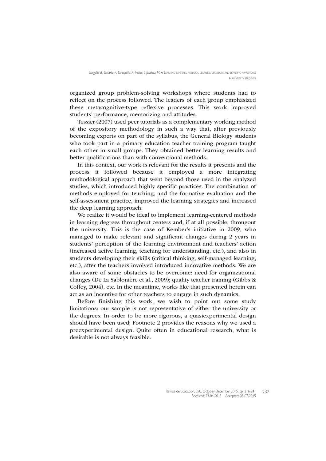organized group problem-solving workshops where students had to reflect on the process followed. The leaders of each group emphasized these metacognitive-type reflexive processes. This work improved students' performance, memorizing and attitudes.

Tessier (2007) used peer tutorials as a complementary working method of the expository methodology in such a way that, after previously becoming experts on part of the syllabus, the General Biology students who took part in a primary education teacher training program taught each other in small groups. They obtained better learning results and better qualifications than with conventional methods.

In this context, our work is relevant for the results it presents and the process it followed because it employed a more integrating methodological approach that went beyond those used in the analyzed studies, which introduced highly specific practices. The combination of methods employed for teaching, and the formative evaluation and the self-assessment practice, improved the learning strategies and increased the deep learning approach.

We realize it would be ideal to implement learning-centered methods in learning degrees throughout centers and, if at all possible, througout the university. This is the case of Kember's initiative in 2009, who managed to make relevant and significant changes during 2 years in students' perception of the learning environment and teachers' action (increased active learning, teaching for understanding, etc.), and also in students developing their skills (critical thinking, self-managed learning, etc.), after the teachers involved introduced innovative methods. We are also aware of some obstacles to be overcome: need for organizational changes (De La Sablonière et al., 2009); quality teacher training (Gibbs & Coffey, 2004), etc. In the meantime, works like that presented herein can act as an incentive for other teachers to engage in such dynamics.

Before finishing this work, we wish to point out some study limitations: our sample is not representative of either the university or the degrees. In order to be more rigorous, a quasiexperimental design should have been used; Footnote 2 provides the reasons why we used a preexperimental design. Quite often in educational research, what is desirable is not always feasible.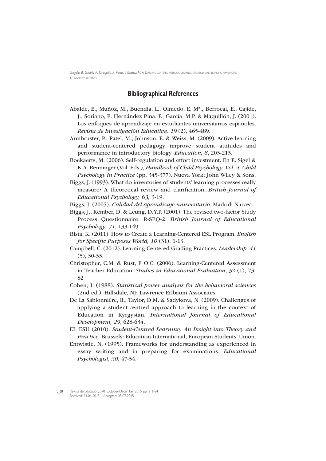## **Bibliographical References**

- Abalde, E., Muñoz, M., Buendía, L., Olmedo, E. Mª., Berrocal, E., Cajide, J., Soriano, E. Hernández Pina, F., García, M.P. & Maquillón, J. (2001). Los enfoques de aprendizaje en estudiantes universitarios españoles. Revista de Investigación Educativa. 19 (2), 465-489.
- Armbruster, P., Patel, M., Johnson, E. & Weiss, M. (2009). Active learning and student-centered pedagogy improve student attitudes and performance in introductory biology. Education, 8, 203-213.
- Boekaerts, M. (2006). Self-regulation and effort investment. En E. Sigel & K.A. Renninger (Vol. Eds.), Handbook of Child Psychology, Vol. 4, Child Psychology in Practice (pp. 345-377). Nueva York: John Wiley & Sons.
- Biggs, J. (1993). What do inventories of students' learning processes really measure? A theoretical review and clarification, British Journal of Educational Psychology, 63, 3-19.
- Biggs, J. (2005). Calidad del aprendizaje universitario. Madrid: Narcea.
- Biggs, J., Kember, D. & Leung, D.Y.P. (2001). The revised two-factor Study Process Questionnaire: R-SPQ-2. British Journal of Educational Psychology, 71, 133-149.
- Bista, K. (2011). How to Create a Learning-Centered ESL Program. English for Specific Purposes World, 10 (31), 1-13.
- Campbell, C. (2012). Learning-Centered Grading Practices. Leadership, 41 (5), 30-33.
- Christopher, C.M. & Rust, F O'C. (2006). Learning-Centered Assessment in Teacher Education. Studies in Educational Evaluation, 32 (1), 73- 82
- Cohen, J. (1988). Statistical power analysis for the behavioral sciences (2nd ed.). Hillsdale, NJ: Lawrence Erlbaum Associates.
- De La Sablonnière, R., Taylor, D.M. & Sadykova, N. (2009). Challenges of applying a student-centred approach to learning in the context of Education in Kyrgystan. International Journal of Educational Development, 29, 628-634.
- EI, ESU (2010). Student-Centred Learning. An Insight into Theory and Practice. Brussels: Education International, European Students' Union.
- Entwistle, N. (1995). Frameworks for understanding as experienced in essay writing and in preparing for examinations. Educational Psychologist, 30, 47-54.

Revista de Educación, 370. October-December 2015, pp. 216-241 Received: 23-04-2015 Accepted: 08-07-2015 238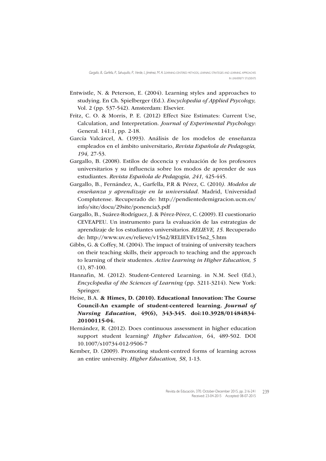- Entwistle, N. & Peterson, E. (2004). Learning styles and approaches to studying. En Ch. Spielberger (Ed.). Encyclopedia of Applied Psycology, Vol. 2 (pp. 537-542). Amsterdam: Elsevier.
- Fritz, C. O. & Morris, P. E. (2012) Effect Size Estimates: Current Use, Calculation, and Interpretation. Journal of Experimental Psychology: General. 141:1, pp. 2-18.
- García Valcárcel, A. (1993). Análisis de los modelos de enseñanza empleados en el ámbito universitario, Revista Española de Pedagogía, 194, 27-53.
- Gargallo, B. (2008). Estilos de docencia y evaluación de los profesores universitarios y su influencia sobre los modos de aprender de sus estudiantes. Revista Española de Pedagogía, 241, 425-445.
- Gargallo, B., Fernández, A., Garfella, P.R & Pérez, C. (2010). Modelos de enseñanza y aprendizaje en la universidad. Madrid, Universidad Complutense. Recuperado de: http://pendientedemigracion.ucm.es/ info/site/docu/29site/ponencia3.pdf
- Gargallo, B., Suárez-Rodríguez, J. & Pérez-Pérez, C. (2009). El cuestionario CEVEAPEU. Un instrumento para la evaluación de las estrategias de aprendizaje de los estudiantes universitarios. RELIEVE, 15. Recuperado de: http://www.uv.es/relieve/v15n2/RELIEVEv15n2\_5.htm
- Gibbs, G. & Coffey, M. (2004). The impact of training of university teachers on their teaching skills, their approach to teaching and the approach to learning of their studentes. Active Learning in Higher Education, 5 (1), 87-100.
- Hannafin, M. (2012). Student-Centered Learning. in N.M. Seel (Ed.), Encyclopedia of the Sciences of Learning (pp. 3211-3214). New York: Springer.
- Heise, B.A. & Himes, D. (2010). Educational Innovation: The Course Council-An example of student-centered learning. Journal of Nursing Education, 49(6), 343-345. doi:10.3928/01484834- 20100115-04.
- Hernández, R. (2012). Does continuous assessment in higher education support student learning? Higher Education, 64, 489-502. DOI 10.1007/s10734-012-9506-7
- Kember, D. (2009). Promoting student-centred forms of learning across an entire university. Higher Education, 58, 1-13.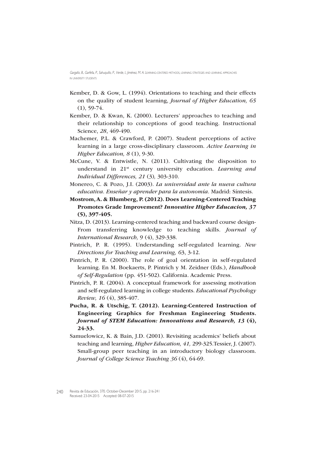- Kember, D. & Gow, L. (1994). Orientations to teaching and their effects on the quality of student learning, Journal of Higher Education, 65  $(1), 59-74.$
- Kember, D. & Kwan, K. (2000). Lecturers' approaches to teaching and their relationship to conceptions of good teaching. Instructional Science, 28, 469-490.
- Machemer, P.L. & Crawford, P. (2007). Student perceptions of active learning in a large cross-disciplinary classroom. Active Learning in Higher Education, 8 (1), 9-30.
- McCune, V. & Entwistle, N. (2011). Cultivating the disposition to understand in 21<sup>st</sup> century university education. Learning and Individual Differences, 21 (3), 303-310.
- Monereo, C. & Pozo, J.I. (2003). La universidad ante la nueva cultura educativa. Enseñar y aprender para la autonomía. Madrid: Síntesis.
- Mostrom, A. & Blumberg, P. (2012). Does Learning-Centered Teaching Promotes Grade Improvement? Innovative Higher Educacion, 37 (5), 397-405.
- Nitza, D. (2013). Learning-centered teaching and backward course design-From transferring knowledge to teaching skills. Journal of International Research, 9 (4), 329-338.
- Pintrich, P. R. (1995). Understanding self-regulated learning. New Directions for Teaching and Learning, 63, 3-12.
- Pintrich, P. R. (2000). The role of goal orientation in self-regulated learning. En M. Boekaerts, P. Pintrich y M. Zeidner (Eds.), Handbook of Self-Regulation (pp. 451-502). California. Academic Press.
- Pintrich, P. R. (2004). A conceptual framework for assessing motivation and self-regulated learning in college students. Educational Psychology Review, 16 (4), 385-407.
- Pucha, R. & Utschig, T. (2012). Learning-Centered Instruction of Engineering Graphics for Freshman Engineering Students. Journal of STEM Education: Innovations and Research, 13 (4), 24-33.
- Samuelowicz, K. & Bain, J.D. (2001). Revisiting academics' beliefs about teaching and learning, Higher Education, 41, 299-325.Tessier, J. (2007). Small-group peer teaching in an introductory biology classroom. Journal of College Science Teaching 36 (4), 64-69.

Revista de Educación, 370. October-December 2015, pp. 216-241 240Received: 23-04-2015 Accepted: 08-07-2015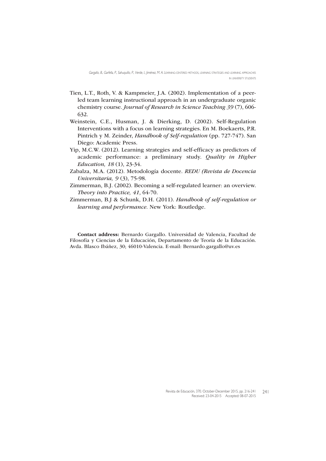- Tien, L.T., Roth, V. & Kampmeier, J.A. (2002). Implementation of a peerled team learning instructional approach in an undergraduate organic chemistry course. Journal of Research in Science Teaching 39 (7), 606- 632.
- Weinstein, C.E., Husman, J. & Dierking, D. (2002). Self-Regulation Interventions with a focus on learning strategies. En M. Boekaerts, P.R. Pintrich y M. Zeinder, Handbook of Self-regulation (pp. 727-747). San Diego: Academic Press.
- Yip, M.C.W. (2012). Learning strategies and self-efficacy as predictors of academic performance: a preliminary study. Quality in Higher Education, 18 (1), 23-34.
- Zabalza, M.A. (2012). Metodología docente. REDU (Revista de Docencia Universitaria, 9 (3), 75-98.
- Zimmerman, B.J. (2002). Becoming a self-regulated learner: an overview. Theory into Practice, 41, 64-70.
- Zimmerman, B.J & Schunk, D.H. (2011). Handbook of self-regulation or learning and performance. New York: Routledge.

Contact address: Bernardo Gargallo. Universidad de Valencia, Facultad de Filosofía y Ciencias de la Educación, Departamento de Teoría de la Educación. Avda. Blasco Ibáñez, 30; 46010-Valencia. E-mail: Bernardo.gargallo@uv.es